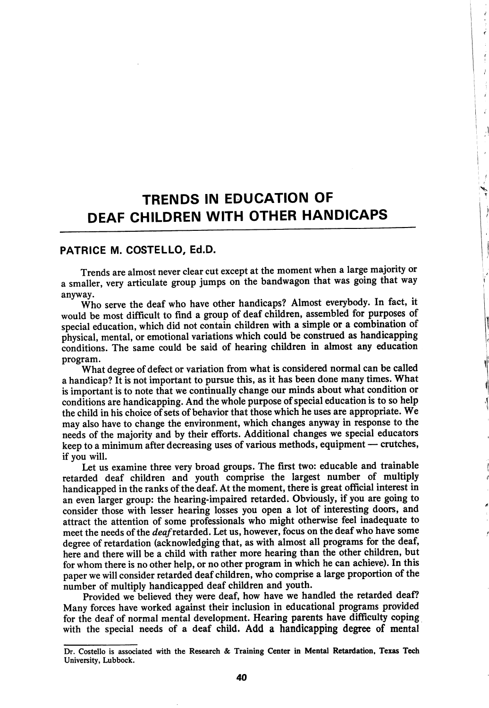## TRENDS IN EDUCATION OF DEAF CHILDREN WITH OTHER HANDICAPS

ź

 $\frac{f}{4}$  $\bar{J}$ 

> Î Ź

## PATRICE M. COSTELLO, Ed.D.

Trends are almost never clear cut except at the moment when a large majority or a smaller, very articulate group jumps on the bandwagon that was going that way anyway.

Who serve the deaf who have other handicaps? Almost everybody. In fact, it would be most difficult to find a group of deaf children, assembled for purposes of special education, which did not contain children with a simple or a combination of physical, mental, or emotional variations which could be construed as handicapping conditions. The same could be said of hearing children in almost any education program.

What degree of defect or variation from what is considered normal can be called a handicap? It is not important to pursue this, as it has been done many times. What is important is to note that we continually change our minds about what condition or conditions are handicapping. And the whole purpose of special education is to so help the child in his choice of sets of behavior that those which he uses are appropriate. We may also have to change the environment, which changes anyway in response to the needs of the majority and by their efforts. Additional changes we special educators keep to a minimum after decreasing uses of various methods, equipment — crutches, if you will.

Let us examine three very broad groups. The first two: educable and trainable retarded deaf children and youth comprise the largest number of multiply handicapped in the ranks of the deaf. At the moment, there is great official interest in an even larger group: the hearing-impaired retarded. Obviously, if you are going to consider those with lesser hearing losses you open a lot of interesting doors, and attract the attention of some professionals who might otherwise feel inadequate to meet the needs of the *deaf* retarded. Let us, however, focus on the deaf who have some degree of retardation (acknowledging that, as with almost all programs for the deaf, here and there will be a child with rather more hearing than the other children, but for whom there is no other help, or no other program in which he can achieve). In this paper we will consider retarded deaf children, who comprise a large proportion of the number of multiply handicapped deaf children and youth.

Provided we believed they were deaf, how have we handled the retarded deaf? Many forces have worked against their inclusion in educational programs provided for the deaf of normal mental development. Hearing parents have difficulty coping with the special needs of a deaf child. Add a handicapping degree of mental

Dr. Costello is associated with the Research & Training Center in Mental Retardation, Texas Tech University, Lubbock.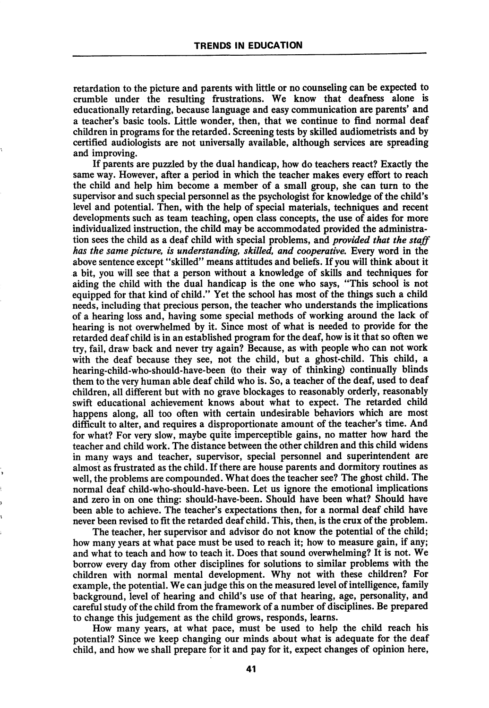retardation to the picture and parents with little or no counseling can be expected to crumble under the resulting frustrations. We know that deafness alone is educationally retarding, because language and easy communication are parents' and a teacher's basic tools. Little wonder, then, that we continue to find normal deaf children in programs for the retarded. Screening tests by skilled audiometrists and by certified audiologists are not universally available, although services are spreading and improving.

If parents are puzzled by the dual handicap, how do teachers react? Exactly the same way. However, after a period in which the teacher makes every effort to reach the child and help him become a member of a small group, she can turn to the supervisor and such special personnel as the psychologist for knowledge of the child's level and potential. Then, with the help of special materials, techniques and recent developments such as team teaching, open class concepts, the use of aides for more individualized instruction, the child may be accommodated provided the administra tion sees the child as a deaf child with special problems, and *provided that the staff* has the same picture, is understanding, skilled, and cooperative. Every word in the above sentence except "skilled" means attitudes and beliefs. If you will think about it a bit, you will see that a person without a knowledge of skills and techniques for aiding the child with the dual handicap is the one who says, "This school is not equipped for that kind of child." Yet the school has most of the things such a child needs, including that precious person, the teacher who understands the implications of a hearing loss and, having some special methods of working around the lack of hearing is not overwhelmed by it. Since most of what is needed to provide for the retarded deaf child is in an established program for the deaf, how is it that so often we try, fail, draw back and never try again? Because, as with people who can not work with the deaf because they see, not the child, but a ghost-child. This child, a hearing-child-who-should-have-been (to their way of thinking) continually blinds them to the very human able deaf child who is. So, a teacher of the deaf, used to deaf children, all different but with no grave blockages to reasonably orderly, reasonably swift educational achievement knows about what to expect. The retarded child happens along, all too often with certain undesirable behaviors which are most difficult to alter, and requires a disproportionate amount of the teacher's time. And for what? For very slow, maybe quite imperceptible gains, no matter how hard the teacher and child work. The distance between the other children and this child widens in many ways and teacher, supervisor, special personnel and superintendent are almost as frustrated as the child. If there are house parents and dormitory routines as well, the problems are compounded. What does the teacher see? The ghost child. The normal deaf child-who-should-have-been. Let us ignore the emotional implications and zero in on one thing: should-have-been. Should have been what? Should have been able to achieve. The teacher's expectations then, for a normal deaf child have never been revised to fit the retarded deaf child. This, then, is the crux of the problem.

The teacher, her supervisor and advisor do not know the potential of the child; how many years at what pace must be used to reach it; how to measure gain, if any; and what to teach and how to teach it. Does that sound overwhelming? It is not. We borrow every day from other disciplines for solutions to similar problems with the children with normal mental development. Why not with these children? For example, the potential. We can judge this on the measured level of intelligence, family background, level of hearing and child's use of that hearing, age, personality, and careful study of the child from the framework of a number of disciplines. Be prepared to change this judgement as the child grows, responds, learns.

How many years, at what pace, must be used to help the child reach his potential? Since we keep changing our minds about what is adequate for the deaf child, and how we shall prepare for it and pay for it, expect changes of opinion here,